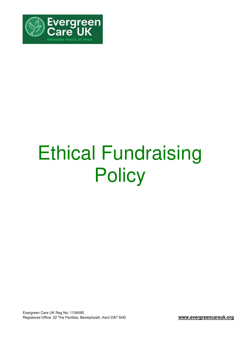

# Ethical Fundraising **Policy**

Evergreen Care UK Reg No: 1154595 Registered Office: 22 The Pantiles, Bexleyheath, Kent DA7 5HD **www.evergreencareuk.org**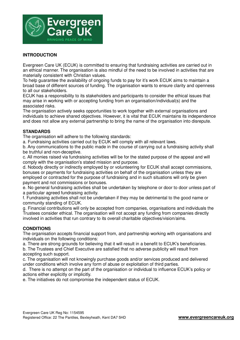

# **INTRODUCTION**

Evergreen Care UK (ECUK) is committed to ensuring that fundraising activities are carried out in an ethical manner. The organisation is also mindful of the need to be involved in activities that are materially consistent with Christian values.

To help guarantee the availability of ongoing funds to pay for it's work ECUK aims to maintain a broad base of different sources of funding. The organisation wants to ensure clarity and openness to all our stakeholders.

ECUK has a responsibility to its stakeholders and participants to consider the ethical issues that may arise in working with or accepting funding from an organisation/individual(s) and the associated risks.

The organisation actively seeks opportunities to work together with external organisations and individuals to achieve shared objectives. However, it is vital that ECUK maintains its independence and does not allow any external partnership to bring the name of the organisation into disrepute.

#### **STANDARDS**

The organisation will adhere to the following standards:

a. Fundraising activities carried out by ECUK will comply with all relevant laws.

b. Any communications to the public made in the course of carrying out a fundraising activity shall be truthful and non-deceptive.

c. All monies raised via fundraising activities will be for the stated purpose of the appeal and will comply with the organisation's stated mission and purpose.

d. Nobody directly or indirectly employed by or volunteering for ECUK shall accept commissions, bonuses or payments for fundraising activities on behalf of the organisation unless they are employed or contracted for the purpose of fundraising and in such situations will only be given payment and not commissions or bonuses.

e. No general fundraising activities shall be undertaken by telephone or door to door unless part of a particular agreed fundraising activity.

f. Fundraising activities shall not be undertaken if they may be detrimental to the good name or community standing of ECUK.

g. Financial contributions will only be accepted from companies, organisations and individuals the Trustees consider ethical. The organisation will not accept any funding from companies directly involved in activities that run contrary to its overall charitable objectives/vision/aims.

## **CONDITIONS**

The organisation accepts financial support from, and partnership working with organisations and individuals on the following conditions:

a. There are strong grounds for believing that it will result in a benefit to ECUK's beneficiaries.

b. The Trustees and Chief Executive are satisfied that no adverse publicity will result from accepting such support.

c. The organisation will not knowingly purchase goods and/or services produced and delivered under conditions which involve any form of abuse or exploitation of third parties.

d. There is no attempt on the part of the organisation or individual to influence ECUK's policy or actions either explicitly or implicitly.

e. The initiatives do not compromise the independent status of ECUK.